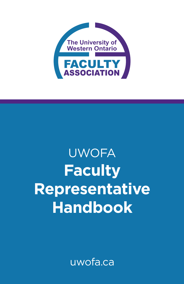

# **UWOFA Faculty Representative Handbook**

uwofa.ca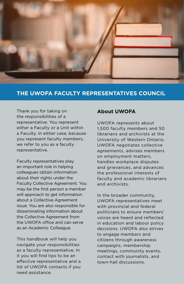

# **THE UWOFA FACULTY REPRESENTATIVES COUNCIL**

Thank you for taking on the responsibilities of a representative. You represent either a Faculty or a Unit within a Faculty. In either case, because you represent faculty members, we refer to you as a faculty representative.

Faculty representatives play an important role in helping colleagues obtain information about their rights under the Faculty Collective Agreement. You may be the first person a member will approach to get information about a Collective Agreement issue. You are also responsible for disseminating information about the Collective Agreement from the UWOFA office and can serve as an Academic Colleague.

This handbook will help you navigate your responsibilities as a faculty representative. In it you will find tips to be an effective representative and a list of UWOFA contacts if you need assistance.

## **About UWOFA**

UWOFA represents about 1,500 faculty members and 50 librarians and archivists at the University of Western Ontario. UWOFA negotiates collective agreements, advises members on employment matters, handles workplace disputes and grievances, and advances the professional interests of faculty and academic librarians and archivists.

In the broader community, UWOFA representatives meet with provincial and federal politicians to ensure members' voices are heard and reflected in education and labour policy decisions. UWOFA also strives to engage members and citizens through awareness campaigns, membership meetings, community events, contact with journalists, and town-hall discussions.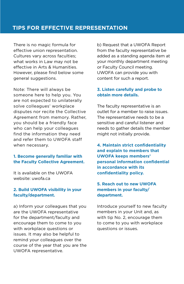# **TIPS FOR EFFECTIVE REPRESENTATION**

There is no magic formula for effective union representation. Cultures vary across faculties; what works in Law may not be effective in Arts & Humanities. However, please find below some general suggestions.

Note: There will always be someone here to help you. You are not expected to unilaterally solve colleagues' workplace disputes nor recite the Collective Agreement from memory. Rather, you should be a friendly face who can help your colleagues find the information they need and refer them to UWOFA staff when necessary.

### **1. Become generally familiar with the Faculty Collective Agreement.**

It is available on the UWOFA website: [uwofa.ca](http://uwofa.ca)

## **2. Build UWOFA visibility in your faculty/department.**

a) Inform your colleagues that you are the UWOFA representative for the department/faculty and encourage them to come to you with workplace questions or issues. It may also be helpful to remind your colleagues over the course of the year that you are the UWOFA representative.

b) Request that a UWOFA Report from the faculty representative be added as a standing agenda item at your monthly department meeting or Faculty Council meeting. UWOFA can provide you with content for such a report.

## **3. Listen carefully and probe to obtain more details.**

The faculty representative is an outlet for a member to raise issues. The representative needs to be a sensitive and careful listener and needs to gather details the member might not initially provide.

**4. Maintain strict confidentiality and explain to members that UWOFA keeps members' personal information confidential in accordance with its confidentiality policy.**

## **5. Reach out to new UWOFA members in your faculty/ department.**

Introduce yourself to new faculty members in your Unit and, as with tip No. 2, encourage them to come to you with workplace questions or issues.